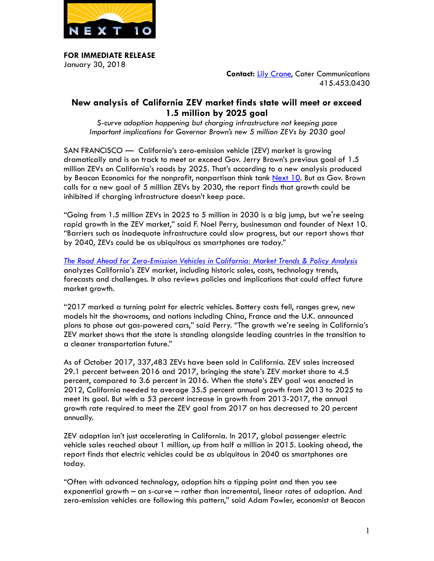

**FOR IMMEDIATE RELEASE**  January 30, 2018

**Contact: [Lily Crane,](mailto:lily@catercommunications.com) Cater Communications** 415.453.0430

# **New analysis of California ZEV market finds state will meet or exceed 1.5 million by 2025 goal**

*S-curve adoption happening but charging infrastructure not keeping pace Important implications for Governor Brown's new 5 million ZEVs by 2030 goal* 

SAN FRANCISCO — California's zero-emission vehicle (ZEV) market is growing dramatically and is on track to meet or exceed Gov. Jerry Brown's previous goal of 1.5 million ZEVs on California's roads by 2025. That's according to a new analysis produced by Beacon Economics for the nonprofit, nonpartisan think tank [Next 10.](http://next10.org/) But as Gov. Brown calls for a new goal of 5 million ZEVs by 2030, the report finds that growth could be inhibited if charging infrastructure doesn't keep pace.

"Going from 1.5 million ZEVs in 2025 to 5 million in 2030 is a big jump, but we're seeing rapid growth in the ZEV market," said F. Noel Perry, businessman and founder of Next 10. "Barriers such as inadequate infrastructure could slow progress, but our report shows that by 2040, ZEVs could be as ubiquitous as smartphones are today."

*[The Road Ahead for Zero-Emission Vehicles in California: Market Trends & Policy Analysis](http://next10.org/zev)*  analyzes California's ZEV market, including historic sales, costs, technology trends, forecasts and challenges. It also reviews policies and implications that could affect future market growth.

"2017 marked a turning point for electric vehicles. Battery costs fell, ranges grew, new models hit the showrooms, and nations including China, France and the U.K. announced plans to phase out gas-powered cars," said Perry. "The growth we're seeing in California's ZEV market shows that the state is standing alongside leading countries in the transition to a cleaner transportation future."

As of October 2017, 337,483 ZEVs have been sold in California. ZEV sales increased 29.1 percent between 2016 and 2017, bringing the state's ZEV market share to 4.5 percent, compared to 3.6 percent in 2016. When the state's ZEV goal was enacted in 2012, California needed to average 35.5 percent annual growth from 2013 to 2025 to meet its goal. But with a 53 percent increase in growth from 2013-2017, the annual growth rate required to meet the ZEV goal from 2017 on has decreased to 20 percent annually.

ZEV adoption isn't just accelerating in California. In 2017, global passenger electric vehicle sales reached about 1 million, up from half a million in 2015. Looking ahead, the report finds that electric vehicles could be as ubiquitous in 2040 as smartphones are today.

"Often with advanced technology, adoption hits a tipping point and then you see exponential growth – an s-curve – rather than incremental, linear rates of adoption. And zero-emission vehicles are following this pattern," said Adam Fowler, economist at Beacon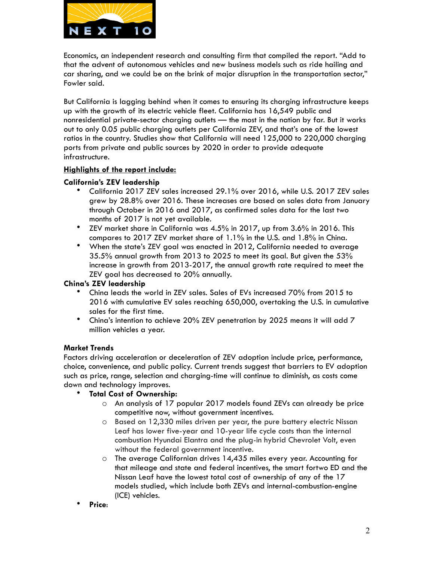

Economics, an independent research and consulting firm that compiled the report. "Add to that the advent of autonomous vehicles and new business models such as ride hailing and car sharing, and we could be on the brink of major disruption in the transportation sector," Fowler said.

But California is lagging behind when it comes to ensuring its charging infrastructure keeps up with the growth of its electric vehicle fleet. California has 16,549 public and nonresidential private-sector charging outlets — the most in the nation by far. But it works out to only 0.05 public charging outlets per California ZEV, and that's one of the lowest ratios in the country. Studies show that California will need 125,000 to 220,000 charging ports from private and public sources by 2020 in order to provide adequate infrastructure.

# **Highlights of the report include:**

# **California's ZEV leadership**

- California 2017 ZEV sales increased 29.1% over 2016, while U.S. 2017 ZEV sales grew by 28.8% over 2016. These increases are based on sales data from January through October in 2016 and 2017, as confirmed sales data for the last two months of 2017 is not yet available.
- ZEV market share in California was 4.5% in 2017, up from 3.6% in 2016. This compares to 2017 ZEV market share of 1.1% in the U.S. and 1.8% in China.
- When the state's ZEV goal was enacted in 2012, California needed to average 35.5% annual growth from 2013 to 2025 to meet its goal. But given the 53% increase in growth from 2013-2017, the annual growth rate required to meet the ZEV goal has decreased to 20% annually.

# **China's ZEV leadership**

- China leads the world in ZEV sales. Sales of EVs increased 70% from 2015 to 2016 with cumulative EV sales reaching 650,000, overtaking the U.S. in cumulative sales for the first time.
- China's intention to achieve 20% ZEV penetration by 2025 means it will add 7 million vehicles a year.

#### **Market Trends**

Factors driving acceleration or deceleration of ZEV adoption include price, performance, choice, convenience, and public policy. Current trends suggest that barriers to EV adoption such as price, range, selection and charging-time will continue to diminish, as costs come down and technology improves.

#### • **Total Cost of Ownership:**

- o An analysis of 17 popular 2017 models found ZEVs can already be price competitive now, without government incentives.
- o Based on 12,330 miles driven per year, the pure battery electric Nissan Leaf has lower five-year and 10-year life cycle costs than the internal combustion Hyundai Elantra and the plug-in hybrid Chevrolet Volt, even without the federal government incentive.
- o The average Californian drives 14,435 miles every year. Accounting for that mileage and state and federal incentives, the smart fortwo ED and the Nissan Leaf have the lowest total cost of ownership of any of the 17 models studied, which include both ZEVs and internal-combustion-engine (ICE) vehicles.
- **Price**: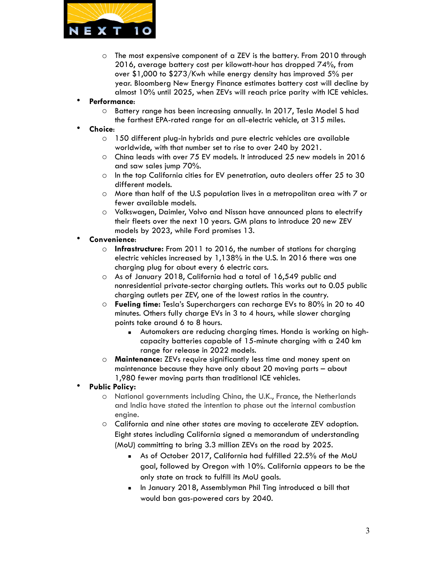

- o The most expensive component of a ZEV is the battery. From 2010 through 2016, average battery cost per kilowatt-hour has dropped 74%, from over \$1,000 to \$273/Kwh while energy density has improved 5% per year. Bloomberg New Energy Finance estimates battery cost will decline by almost 10% until 2025, when ZEVs will reach price parity with ICE vehicles.
- **Performance**:
	- o Battery range has been increasing annually. In 2017, Tesla Model S had the farthest EPA-rated range for an all-electric vehicle, at 315 miles.
- **Choice**:
	- o 150 different plug-in hybrids and pure electric vehicles are available worldwide, with that number set to rise to over 240 by 2021.
	- o China leads with over 75 EV models. It introduced 25 new models in 2016 and saw sales jump 70%.
	- o In the top California cities for EV penetration, auto dealers offer 25 to 30 different models.
	- o More than half of the U.S population lives in a metropolitan area with 7 or fewer available models.
	- o Volkswagen, Daimler, Volvo and Nissan have announced plans to electrify their fleets over the next 10 years. GM plans to introduce 20 new ZEV models by 2023, while Ford promises 13.
- **Convenience**:
	- o **Infrastructure:** From 2011 to 2016, the number of stations for charging electric vehicles increased by 1,138% in the U.S. In 2016 there was one charging plug for about every 6 electric cars.
	- o As of January 2018, California had a total of 16,549 public and nonresidential private-sector charging outlets. This works out to 0.05 public charging outlets per ZEV, one of the lowest ratios in the country.
	- o **Fueling time:** Tesla's Superchargers can recharge EVs to 80% in 20 to 40 minutes. Others fully charge EVs in 3 to 4 hours, while slower charging points take around 6 to 8 hours.
		- **EXEDENT Automakers are reducing charging times. Honda is working on high**capacity batteries capable of 15-minute charging with a 240 km range for release in 2022 models.
	- o **Maintenance:** ZEVs require significantly less time and money spent on maintenance because they have only about 20 moving parts – about 1,980 fewer moving parts than traditional ICE vehicles.
- **Public Policy:** 
	- o National governments including China, the U.K., France, the Netherlands and India have stated the intention to phase out the internal combustion engine.
	- o California and nine other states are moving to accelerate ZEV adoption. Eight states including California signed a memorandum of understanding (MoU) committing to bring 3.3 million ZEVs on the road by 2025.
		- As of October 2017, California had fulfilled 22.5% of the MoU goal, followed by Oregon with 10%. California appears to be the only state on track to fulfill its MoU goals.
		- In January 2018, Assemblyman Phil Ting introduced a bill that would ban gas-powered cars by 2040.